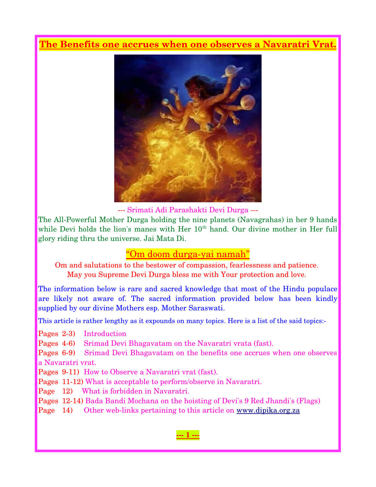### **The Benefits one accrues when one observes a Navaratri Vrat.**



Srimati Adi Parashakti Devi Durga

The All-Powerful Mother Durga holding the nine planets (Navagrahas) in her 9 hands while Devi holds the lion's manes with Her  $10^{th}$  hand. Our divine mother in Her full glory riding thru the universe. Jai Mata Di.

### "Om doom durga-yai namah"

Om and salutations to the bestower of compassion, fearlessness and patience. May you Supreme Devi Durga bless me with Your protection and love.

The information below is rare and sacred knowledge that most of the Hindu populace are likely not aware of. The sacred information provided below has been kindly supplied by our divine Mothers esp. Mother Saraswati.

This article is rather lengthy as it expounds on many topics. Here is a list of the said topics:-

Pages 2-3) Introduction

Pages 46) Srimad Devi Bhagavatam on the Navaratri vrata (fast).

Pages 69) Srimad Devi Bhagavatam on the benefits one accrues when one observes a Navaratri vrat.

Pages 9-11) How to Observe a Navaratri vrat (fast).

Pages 11-12) What is acceptable to perform/observe in Navaratri.

Page 12) What is forbidden in Navaratri.

Pages 12-14) Bada Bandi Mochana on the hoisting of Devi's 9 Red Jhandi's (Flags)

Page 14) Other web-links pertaining to this article on [www.dipika.org.za](http://www.dipika.org.za/)

 **1**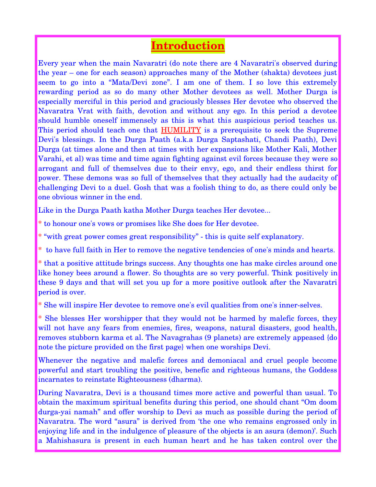## **Introduction**

Every year when the main Navaratri (do note there are 4 Navaratri's observed during the year – one for each season) approaches many of the Mother (shakta) devotees just seem to go into a "Mata/Devi zone". I am one of them. I so love this extremely rewarding period as so do many other Mother devotees as well. Mother Durga is especially merciful in this period and graciously blesses Her devotee who observed the Navaratra Vrat with faith, devotion and without any ego. In this period a devotee should humble oneself immensely as this is what this auspicious period teaches us. This period should teach one that HUMILITY is a prerequisite to seek the Supreme Devi's blessings. In the Durga Paath (a.k.a Durga Saptashati, Chandi Paath), Devi Durga (at times alone and then at times with her expansions like Mother Kali, Mother Varahi, et al) was time and time again fighting against evil forces because they were so arrogant and full of themselves due to their envy, ego, and their endless thirst for power. These demons was so full of themselves that they actually had the audacity of challenging Devi to a duel. Gosh that was a foolish thing to do, as there could only be one obvious winner in the end.

Like in the Durga Paath katha Mother Durga teaches Her devotee...

\* to honour one's vows or promises like She does for Her devotee.

\* "with great power comes great responsibility" - this is quite self explanatory.

\* to have full faith in Her to remove the negative tendencies of one's minds and hearts.

\* that a positive attitude brings success. Any thoughts one has make circles around one like honey bees around a flower. So thoughts are so very powerful. Think positively in these 9 days and that will set you up for a more positive outlook after the Navaratri period is over.

\* She will inspire Her devotee to remove one's evil qualities from one's innerselves.

\* She blesses Her worshipper that they would not be harmed by malefic forces, they will not have any fears from enemies, fires, weapons, natural disasters, good health, removes stubborn karma et al. The Navagrahas (9 planets) are extremely appeased {do note the picture provided on the first page} when one worships Devi.

Whenever the negative and malefic forces and demoniacal and cruel people become powerful and start troubling the positive, benefic and righteous humans, the Goddess incarnates to reinstate Righteousness (dharma).

During Navaratra, Devi is a thousand times more active and powerful than usual. To obtain the maximum spiritual benefits during this period, one should chant "Om doom durga-yai namah" and offer worship to Devi as much as possible during the period of Navaratra. The word "asura" is derived from 'the one who remains engrossed only in enjoying life and in the indulgence of pleasure of the objects is an asura (demon)'. Such a Mahishasura is present in each human heart and he has taken control over the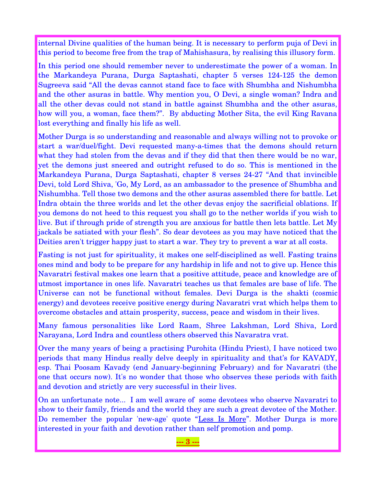internal Divine qualities of the human being. It is necessary to perform puja of Devi in this period to become free from the trap of Mahishasura, by realising this illusory form.

In this period one should remember never to underestimate the power of a woman. In the Markandeya Purana, Durga Saptashati, chapter 5 verses 124-125 the demon Sugreeva said "All the devas cannot stand face to face with Shumbha and Nishumbha and the other asuras in battle. Why mention you, O Devi, a single woman? Indra and all the other devas could not stand in battle against Shumbha and the other asuras, how will you, a woman, face them?". By abducting Mother Sita, the evil King Ravana lost everything and finally his life as well.

Mother Durga is so understanding and reasonable and always willing not to provoke or start a war/duel/fight. Devi requested many-a-times that the demons should return what they had stolen from the devas and if they did that then there would be no war, yet the demons just sneered and outright refused to do so. This is mentioned in the Markandeya Purana, Durga Saptashati, chapter 8 verses 24-27 "And that invincible Devi, told Lord Shiva, 'Go, My Lord, as an ambassador to the presence of Shumbha and Nishumbha. Tell those two demons and the other asuras assembled there for battle. Let Indra obtain the three worlds and let the other devas enjoy the sacrificial oblations. If you demons do not heed to this request you shall go to the nether worlds if you wish to live. But if through pride of strength you are anxious for battle then lets battle. Let My jackals be satiated with your flesh". So dear devotees as you may have noticed that the Deities aren't trigger happy just to start a war. They try to prevent a war at all costs.

Fasting is not just for spirituality, it makes one self-disciplined as well. Fasting trains ones mind and body to be prepare for any hardship in life and not to give up. Hence this Navaratri festival makes one learn that a positive attitude, peace and knowledge are of utmost importance in ones life. Navaratri teaches us that females are base of life. The Universe can not be functional without females. Devi Durga is the shakti (cosmic energy) and devotees receive positive energy during Navaratri vrat which helps them to overcome obstacles and attain prosperity, success, peace and wisdom in their lives.

Many famous personalities like Lord Raam, Shree Lakshman, Lord Shiva, Lord Narayana, Lord Indra and countless others observed this Navaratra vrat.

Over the many years of being a practising Purohita (Hindu Priest), I have noticed two periods that many Hindus really delve deeply in spirituality and that's for KAVADY, esp. Thai Poosam Kavady (end Januarybeginning February) and for Navaratri (the one that occurs now). It's no wonder that those who observes these periods with faith and devotion and strictly are very successful in their lives.

On an unfortunate note... I am well aware of some devotees who observe Navaratri to show to their family, friends and the world they are such a great devotee of the Mother. Do remember the popular 'new-age' quote "Less Is More". Mother Durga is more interested in your faith and devotion rather than self promotion and pomp.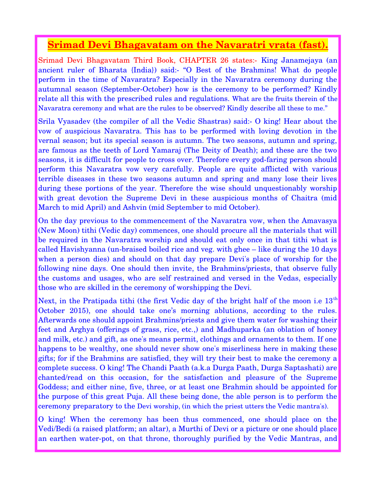### **Srimad Devi Bhagavatam on the Navaratri vrata (fast).**

Srimad Devi Bhagavatam Third Book, CHAPTER 26 states: King Janamejaya (an ancient ruler of Bharata {India}) said: "O Best of the Brahmins! What do people perform in the time of Navaratra? Especially in the Navaratra ceremony during the autumnal season (September-October) how is the ceremony to be performed? Kindly relate all this with the prescribed rules and regulations. What are the fruits therein of the Navaratra ceremony and what are the rules to be observed? Kindly describe all these to me."

Srila Vyasadev (the compiler of all the Vedic Shastras) said: O king! Hear about the vow of auspicious Navaratra. This has to be performed with loving devotion in the vernal season; but its special season is autumn. The two seasons, autumn and spring, are famous as the teeth of Lord Yamaraj (The Deity of Death); and these are the two seasons, it is difficult for people to cross over. Therefore every god-faring person should perform this Navaratra vow very carefully. People are quite afflicted with various terrible diseases in these two seasons autumn and spring and many lose their lives during these portions of the year. Therefore the wise should unquestionably worship with great devotion the Supreme Devi in these auspicious months of Chaitra (mid March to mid April) and Ashvin (mid September to mid October).

On the day previous to the commencement of the Navaratra vow, when the Amavasya (New Moon) tithi (Vedic day) commences, one should procure all the materials that will be required in the Navaratra worship and should eat only once in that tithi what is called Havishyanna (un-braised boiled rice and veg. with ghee – like during the 10 days when a person dies) and should on that day prepare Devi's place of worship for the following nine days. One should then invite, the Brahmins/priests, that observe fully the customs and usages, who are self restrained and versed in the Vedas, especially those who are skilled in the ceremony of worshipping the Devi.

Next, in the Pratipada tithi (the first Vedic day of the bright half of the moon i.e  $13<sup>th</sup>$ October 2015), one should take one's morning ablutions, according to the rules. Afterwards one should appoint Brahmins/priests and give them water for washing their feet and Arghya (offerings of grass, rice, etc.,) and Madhuparka (an oblation of honey and milk, etc.) and gift, as one's means permit, clothings and ornaments to them. If one happens to be wealthy, one should never show one's miserliness here in making these gifts; for if the Brahmins are satisfied, they will try their best to make the ceremony a complete success. O king! The Chandi Paath (a.k.a Durga Paath, Durga Saptashati) are chanted/read on this occasion, for the satisfaction and pleasure of the Supreme Goddess; and either nine, five, three, or at least one Brahmin should be appointed for the purpose of this great Puja. All these being done, the able person is to perform the ceremony preparatory to the Devi worship, (in which the priest utters the Vedic mantra's).

O king! When the ceremony has been thus commenced, one should place on the Vedi/Bedi (a raised platform; an altar), a Murthi of Devi or a picture or one should place an earthen water-pot, on that throne, thoroughly purified by the Vedic Mantras, and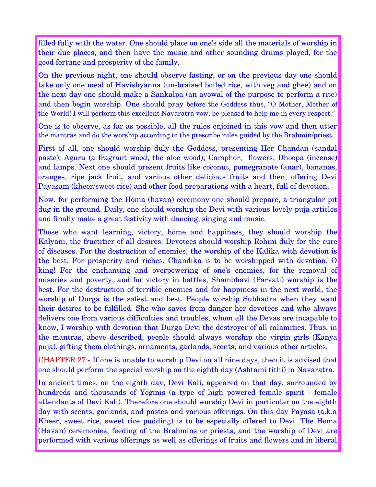filled fully with the water. One should place on one's side all the materials of worship in their due places, and then have the music and other sounding drums played, for the good fortune and prosperity of the family.

On the previous night, one should observe fasting, or on the previous day one should take only one meal of Havishyanna (un-braised boiled rice, with veg and ghee) and on the next day one should make a Sankalpa (an avowal of the purpose to perform a rite) and then begin worship. One should pray before the Goddess thus, "O Mother, Mother of the World! I will perform this excellent Navaratra vow; be pleased to help me in every respect."

One is to observe, as far as possible, all the rules enjoined in this vow and then utter the mantras and do the worship according to the prescribe rules guided by the Brahmin/priest.

First of all, one should worship duly the Goddess, presenting Her Chandan (sandal paste), Aguru (a fragrant wood, the aloe wood), Camphor, flowers, Dhoopa (incense) and lamps. Next one should present fruits like coconut, pomegranate (anar), bananas, oranges, ripe jack fruit, and various other delicious fruits and then, offering Devi Payasam (kheer/sweet rice) and other food preparations with a heart, full of devotion.

Now, for performing the Homa (havan) ceremony one should prepare, a triangular pit dug in the ground. Daily, one should worship the Devi with various lovely puja articles and finally make a great festivity with dancing, singing and music.

Those who want learning, victory, home and happiness, they should worship the Kalyani, the fructitier of all desires. Devotees should worship Rohini duly for the cure of diseases. For the destruction of enemies, the worship of the Kalika with devotion is the best. For prosperity and riches, Chandika is to be worshipped with devotion. O king! For the enchanting and overpowering of one's enemies, for the removal of miseries and poverty, and for victory in battles, Shambhavi (Parvati) worship is the best. For the destruction of terrible enemies and for happiness in the next world, the worship of Durga is the safest and best. People worship Subhadra when they want their desires to be fulfilled. She who saves from danger her devotees and who always delivers one from various difficulties and troubles, whom all the Devas are incapable to know, I worship with devotion that Durga Devi the destroyer of all calamities. Thus, in the mantras, above described, people should always worship the virgin girls (Kanya puja), gifting them clothings, ornaments, garlands, scents, and various other articles.

CHAPTER 27: If one is unable to worship Devi on all nine days, then it is advised that one should perform the special worship on the eighth day (Ashtami tithi) in Navaratra.

In ancient times, on the eighth day, Devi Kali, appeared on that day, surrounded by hundreds and thousands of Yoginis (a type of high powered female spirit - female attendants of Devi Kali). Therefore one should worship Devi in particular on the eighth day with scents, garlands, and pastes and various offerings. On this day Payasa (a.k.a Kheer, sweet rice, sweet rice pudding) is to be especially offered to Devi. The Homa (Havan) ceremonies, feeding of the Brahmins or priests, and the worship of Devi are performed with various offerings as well as offerings of fruits and flowers and in liberal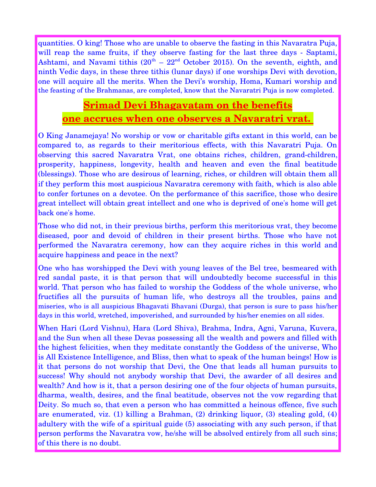quantities. O king! Those who are unable to observe the fasting in this Navaratra Puja, will reap the same fruits, if they observe fasting for the last three days - Saptami, Ashtami, and Navami tithis  $(20<sup>th</sup> - 22<sup>nd</sup>$  October 2015). On the seventh, eighth, and ninth Vedic days, in these three tithis (lunar days) if one worships Devi with devotion, one will acquire all the merits. When the Devi's worship, Homa, Kumari worship and the feasting of the Brahmanas, are completed, know that the Navaratri Puja is now completed.

# **Srimad Devi Bhagavatam on the benefits one accrues when one observes a Navaratri vrat.**

O King Janamejaya! No worship or vow or charitable gifts extant in this world, can be compared to, as regards to their meritorious effects, with this Navaratri Puja. On observing this sacred Navaratra Vrat, one obtains riches, children, grand-children, prosperity, happiness, longevity, health and heaven and even the final beatitude (blessings**)**. Those who are desirous of learning, riches, or children will obtain them all if they perform this most auspicious Navaratra ceremony with faith, which is also able to confer fortunes on a devotee. On the performance of this sacrifice, those who desire great intellect will obtain great intellect and one who is deprived of one's home will get back one's home.

Those who did not, in their previous births, perform this meritorious vrat, they become diseased, poor and devoid of children in their present births. Those who have not performed the Navaratra ceremony, how can they acquire riches in this world and acquire happiness and peace in the next?

One who has worshipped the Devi with young leaves of the Bel tree, besmeared with red sandal paste, it is that person that will undoubtedly become successful in this world. That person who has failed to worship the Goddess of the whole universe, who fructifies all the pursuits of human life, who destroys all the troubles, pains and miseries, who is all auspicious Bhagavati Bhavani (Durga), that person is sure to pass his/her days in this world, wretched, impoverished, and surrounded by his/her enemies on all sides.

When Hari (Lord Vishnu), Hara (Lord Shiva), Brahma, Indra, Agni, Varuna, Kuvera, and the Sun when all these Devas possessing all the wealth and powers and filled with the highest felicities, when they meditate constantly the Goddess of the universe, Who is All Existence Intelligence, and Bliss, then what to speak of the human beings! How is it that persons do not worship that Devi, the One that leads all human pursuits to success! Why should not anybody worship that Devi, the awarder of all desires and wealth? And how is it, that a person desiring one of the four objects of human pursuits, dharma, wealth, desires, and the final beatitude, observes not the vow regarding that Deity. So much so, that even a person who has committed a heinous offence, five such are enumerated, viz. (1) killing a Brahman, (2) drinking liquor, (3) stealing gold, (4) adultery with the wife of a spiritual guide (5) associating with any such person, if that person performs the Navaratra vow, he/she will be absolved entirely from all such sins; of this there is no doubt.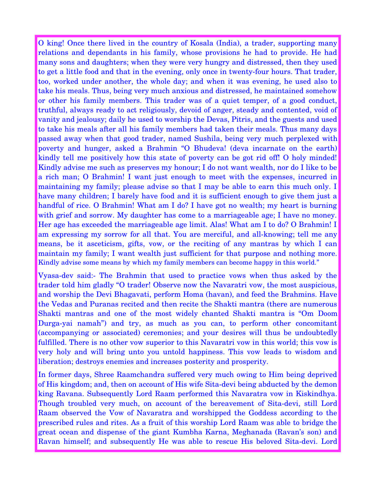O king! Once there lived in the country of Kosala (India), a trader, supporting many relations and dependants in his family, whose provisions he had to provide. He had many sons and daughters; when they were very hungry and distressed, then they used to get a little food and that in the evening, only once in twenty-four hours. That trader, too, worked under another, the whole day; and when it was evening, he used also to take his meals. Thus, being very much anxious and distressed, he maintained somehow or other his family members. This trader was of a quiet temper, of a good conduct, truthful, always ready to act religiously, devoid of anger, steady and contented, void of vanity and jealousy; daily he used to worship the Devas, Pitris, and the guests and used to take his meals after all his family members had taken their meals. Thus many days passed away when that good trader, named Sushila, being very much perplexed with poverty and hunger, asked a Brahmin "O Bhudeva! (deva incarnate on the earth) kindly tell me positively how this state of poverty can be got rid off! O holy minded! Kindly advise me such as preserves my honour; I do not want wealth, nor do I like to be a rich man; O Brahmin! I want just enough to meet with the expenses, incurred in maintaining my family; please advise so that I may be able to earn this much only. I have many children; I barely have food and it is sufficient enough to give them just a handful of rice. O Brahmin! What am I do? I have got no wealth; my heart is burning with grief and sorrow. My daughter has come to a marriageable age; I have no money. Her age has exceeded the marriageable age limit. Alas! What am I to do? O Brahmin! I am expressing my sorrow for all that. You are merciful, and all-knowing; tell me any means, be it asceticism, gifts, vow, or the reciting of any mantras by which I can maintain my family; I want wealth just sufficient for that purpose and nothing more. Kindly advise some means by which my family members can become happy in this world."

Vyasa-dev said:- The Brahmin that used to practice vows when thus asked by the trader told him gladly "O trader! Observe now the Navaratri vow, the most auspicious, and worship the Devi Bhagavati, perform Homa (havan), and feed the Brahmins. Have the Vedas and Puranas recited and then recite the Shakti mantra (there are numerous Shakti mantras and one of the most widely chanted Shakti mantra is "Om Doom Durga-yai namah") and try, as much as you can, to perform other concomitant (accompanying or associated) ceremonies; and your desires will thus be undoubtedly fulfilled. There is no other vow superior to this Navaratri vow in this world; this vow is very holy and will bring unto you untold happiness. This vow leads to wisdom and liberation; destroys enemies and increases posterity and prosperity.

In former days, Shree Raamchandra suffered very much owing to Him being deprived of His kingdom; and, then on account of His wife Sita-devi being abducted by the demon king Ravana. Subsequently Lord Raam performed this Navaratra vow in Kiskindhya. Though troubled very much, on account of the bereavement of Sita-devi, still Lord Raam observed the Vow of Navaratra and worshipped the Goddess according to the prescribed rules and rites. As a fruit of this worship Lord Raam was able to bridge the great ocean and dispense of the giant Kumbha Karna, Meghanada (Ravan's son) and Ravan himself; and subsequently He was able to rescue His beloved Sita-devi. Lord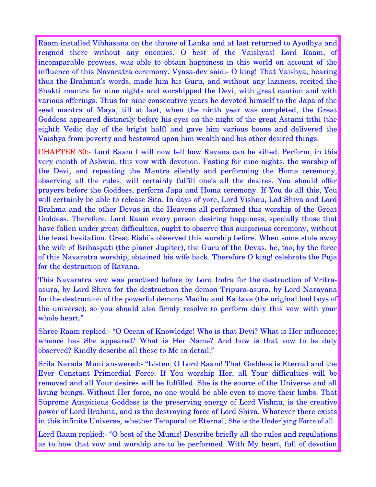Raam installed Vibhasana on the throne of Lanka and at last returned to Ayodhya and reigned there without any enemies. O best of the Vaishyas! Lord Raam, of incomparable prowess, was able to obtain happiness in this world on account of the influence of this Navaratra ceremony. Vyasa-dev said:- O king! That Vaishya, hearing thus the Brahmin's words, made him his Guru, and without any laziness, recited the Shakti mantra for nine nights and worshipped the Devi, with great caution and with various offerings. Thus for nine consecutive years he devoted himself to the Japa of the seed mantra of Maya, till at last, when the ninth year was completed, the Great Goddess appeared distinctly before his eyes on the night of the great Astami tithi (the eighth Vedic day of the bright half) and gave him various boons and delivered the Vaishya from poverty and bestowed upon him wealth and his other desired things.

CHAPTER 30: Lord Raam I will now tell how Ravana can be killed. Perform, in this very month of Ashwin, this vow with devotion. Fasting for nine nights, the worship of the Devi, and repeating the Mantra silently and performing the Homa ceremony, observing all the rules, will certainly fulfill one's all the desires. You should offer prayers before the Goddess, perform Japa and Homa ceremony. If You do all this, You will certainly be able to release Sita. In days of yore, Lord Vishnu, Lod Shiva and Lord Brahma and the other Devas in the Heavens all performed this worship of the Great Goddess. Therefore, Lord Raam every person desiring happiness, specially those that have fallen under great difficulties, ought to observe this auspicious ceremony, without the least hesitation. Great Rishi's observed this worship before. When some stole away the wife of Brihaspati (the planet Jupiter), the Guru of the Devas, he, too, by the force of this Navaratra worship, obtained his wife back. Therefore O king! celebrate the Puja for the destruction of Ravana.

This Navaratra vow was practised before by Lord Indra for the destruction of Vritraasura, by Lord Shiva for the destruction the demon Tripura-asura, by Lord Narayana for the destruction of the powerful demons Madhu and Kaitava (the original bad boys of the universe); so you should also firmly resolve to perform duly this vow with your whole heart."

Shree Raam replied: "O Ocean of Knowledge! Who is that Devi? What is Her influence; whence has She appeared? What is Her Name? And how is that vow to be duly observed? Kindly describe all these to Me in detail."

Srila Narada Muni answered: "Listen, O Lord Raam! That Goddess is Eternal and the Ever Constant Primordial Force. If You worship Her, all Your difficulties will be removed and all Your desires will be fulfilled. She is the source of the Universe and all living beings. Without Her force, no one would be able even to move their limbs. That Supreme Auspicious Goddess is the preserving energy of Lord Vishnu, is the creative power of Lord Brahma, and is the destroying force of Lord Shiva. Whatever there exists in this infinite Universe, whether Temporal or Eternal, She is the Underlying Force of all.

Lord Raam replied: "O best of the Munis! Describe briefly all the rules and regulations as to how that vow and worship are to be performed. With My heart, full of devotion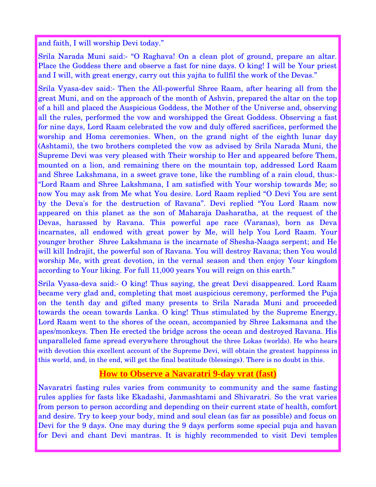and faith, I will worship Devi today."

Srila Narada Muni said: "O Raghava! On a clean plot of ground, prepare an altar. Place the Goddess there and observe a fast for nine days. O king! I will be Your priest and I will, with great energy, carry out this yajña to fullfil the work of the Devas."

Srila Vyasa-dev said: Then the All-powerful Shree Raam, after hearing all from the great Muni, and on the approach of the month of Ashvin, prepared the altar on the top of a hill and placed the Auspicious Goddess, the Mother of the Universe and, observing all the rules, performed the vow and worshipped the Great Goddess. Observing a fast for nine days, Lord Raam celebrated the vow and duly offered sacrifices, performed the worship and Homa ceremonies. When, on the grand night of the eighth lunar day (Ashtami), the two brothers completed the vow as advised by Srila Narada Muni, the Supreme Devi was very pleased with Their worship to Her and appeared before Them, mounted on a lion, and remaining there on the mountain top, addressed Lord Raam and Shree Lakshmana, in a sweet grave tone, like the rumbling of a rain cloud, thus: "Lord Raam and Shree Lakshmana, I am satisfied with Your worship towards Me; so now You may ask from Me what You desire. Lord Raam replied "O Devi You are sent by the Deva's for the destruction of Ravana". Devi replied "You Lord Raam now appeared on this planet as the son of Maharaja Dasharatha, at the request of the Devas, harassed by Ravana. This powerful ape race (Varanas), born as Deva incarnates, all endowed with great power by Me, will help You Lord Raam. Your younger brother Shree Lakshmana is the incarnate of Shesha-Naaga serpent; and He will kill Indrajit, the powerful son of Ravana. You will destroy Ravana; then You would worship Me, with great devotion, in the vernal season and then enjoy Your kingdom according to Your liking. For full 11,000 years You will reign on this earth."

Srila Vyasa-deva said: O king! Thus saying, the great Devi disappeared. Lord Raam became very glad and, completing that most auspicious ceremony, performed the Puja on the tenth day and gifted many presents to Srila Narada Muni and proceeded towards the ocean towards Lanka. O king! Thus stimulated by the Supreme Energy, Lord Raam went to the shores of the ocean, accompanied by Shree Laksmana and the apes/monkeys. Then He erected the bridge across the ocean and destroyed Ravana. His unparalleled fame spread everywhere throughout the three Lokas (worlds). He who hears with devotion this excellent account of the Supreme Devi, will obtain the greatest happiness in this world, and, in the end, will get the final beatitude (blessings**)**. There is no doubt in this.

### **How to Observe a Navaratri 9-day vrat (fast)**

Navaratri fasting rules varies from community to community and the same fasting rules applies for fasts like Ekadashi, Janmashtami and Shivaratri. So the vrat varies from person to person according and depending on their current state of health, comfort and desire. Try to keep your body, mind and soul clean (as far as possible) and focus on Devi for the 9 days. One may during the 9 days perform some special puja and havan for Devi and chant Devi mantras. It is highly recommended to visit Devi temples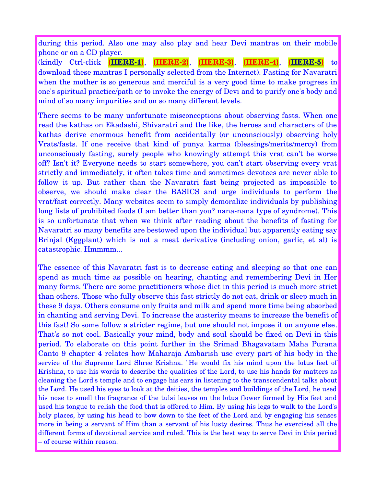during this period. Also one may also play and hear Devi mantras on their mobile phone or on a CD player.

 **(kindly Ctrl-click {HERE-1}, {HERE-2}, {HERE-3}, {HERE-4}, {HERE-5} to** download these mantras I personally selected from the Internet). Fasting for Navaratri when the mother is so generous and merciful is a very good time to make progress in one's spiritual practice/path or to invoke the energy of Devi and to purify one's body and mind of so many impurities and on so many different levels.

There seems to be many unfortunate misconceptions about observing fasts. When one read the kathas on Ekadashi, Shivaratri and the like, the heroes and characters of the kathas derive enormous benefit from accidentally (or unconsciously) observing holy Vrats/fasts. If one receive that kind of punya karma (blessings/merits/mercy) from unconsciously fasting, surely people who knowingly attempt this vrat can't be worse off? Isn't it? Everyone needs to start somewhere, you can't start observing every vrat strictly and immediately, it often takes time and sometimes devotees are never able to follow it up. But rather than the Navaratri fast being projected as impossible to observe, we should make clear the BASICS and urge individuals to perform the vrat/fast correctly. Many websites seem to simply demoralize individuals by publishing long lists of prohibited foods (I am better than you? nana-nana type of syndrome). This is so unfortunate that when we think after reading about the benefits of fasting for Navaratri so many benefits are bestowed upon the individual but apparently eating say Brinjal (Eggplant) which is not a meat derivative (including onion, garlic, et al) is catastrophic. Hmmmm...

The essence of this Navaratri fast is to decrease eating and sleeping so that one can spend as much time as possible on hearing, chanting and remembering Devi in Her many forms. There are some practitioners whose diet in this period is much more strict than others. Those who fully observe this fast strictly do not eat, drink or sleep much in these 9 days. Others consume only fruits and milk and spend more time being absorbed in chanting and serving Devi. To increase the austerity means to increase the benefit of this fast! So some follow a stricter regime, but one should not impose it on anyone else. That's so not cool. Basically your mind, body and soul should be fixed on Devi in this period. To elaborate on this point further in the Srimad Bhagavatam Maha Purana Canto 9 chapter 4 relates how Maharaja Ambarish use every part of his body in the service of the Supreme Lord Shree Krishna. "He would fix his mind upon the lotus feet of Krishna, to use his words to describe the qualities of the Lord, to use his hands for matters as cleaning the Lord's temple and to engage his ears in listening to the transcendental talks about the Lord. He used his eyes to look at the deities, the temples and buildings of the Lord, he used his nose to smell the fragrance of the tulsi leaves on the lotus flower formed by His feet and used his tongue to relish the food that is offered to Him. By using his legs to walk to the Lord's holy places, by using his head to bow down to the feet of the Lord and by engaging his senses more in being a servant of Him than a servant of his lusty desires. Thus he exercised all the different forms of devotional service and ruled. This is the best way to serve Devi in this period – of course within reason.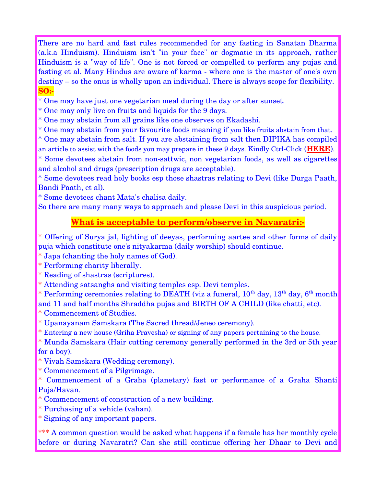There are no hard and fast rules recommended for any fasting in Sanatan Dharma (a.k.a Hinduism). Hinduism isn't "in your face" or dogmatic in its approach, rather Hinduism is a "way of life". One is not forced or compelled to perform any pujas and fasting et al. Many Hindus are aware of karma - where one is the master of one's own destiny – so the onus is wholly upon an individual. There is always scope for flexibility. **SO:**

\* One may have just one vegetarian meal during the day or after sunset.

\* One may only live on fruits and liquids for the 9 days.

\* One may abstain from all grains like one observes on Ekadashi.

\* One may abstain from your favourite foods meaning if you like fruits abstain from that.

\* One may abstain from salt. If you are abstaining from salt then DIPIKA has compiled

an article to assist with the foods you may prepare in these 9 days. Kindly Ctrl-Click (**[HERE](http://dipika.org.za/wp-content/uploads/2015/04/The-Importance-of-Fasting-Saltless-and-Saltless-Recipes.pdf)**).

\* Some devotees abstain from nonsattwic, non vegetarian foods, as well as cigarettes and alcohol and drugs (prescription drugs are acceptable).

\* Some devotees read holy books esp those shastras relating to Devi (like Durga Paath, Bandi Paath, et al).

\* Some devotees chant Mata's chalisa daily.

So there are many many ways to approach and please Devi in this auspicious period.

### **What is acceptable to perform/observe in Navaratri:**

\* Offering of Surya jal, lighting of deeyas, performing aartee and other forms of daily puja which constitute one's nityakarma (daily worship) should continue.

\* Japa (chanting the holy names of God).

\* Performing charity liberally.

\* Reading of shastras (scriptures).

\* Attending satsanghs and visiting temples esp. Devi temples.

\* Performing ceremonies relating to DEATH (viz a funeral,  $10^{th}$  day,  $13^{th}$  day,  $6^{th}$  month and 11 and half months Shraddha pujas and BIRTH OF A CHILD (like chatti, etc).

\* Commencement of Studies.

\* Upanayanam Samskara (The Sacred thread/Jeneo ceremony).

\* Entering a new house (Griha Pravesha) or signing of any papers pertaining to the house.

\* Munda Samskara (Hair cutting ceremony generally performed in the 3rd or 5th year for a boy).

\* Vivah Samskara (Wedding ceremony).

\* Commencement of a Pilgrimage.

\* Commencement of a Graha (planetary) fast or performance of a Graha Shanti Puja/Havan.

\* Commencement of construction of a new building.

\* Purchasing of a vehicle (vahan).

\* Signing of any important papers.

\*\*\* A common question would be asked what happens if a female has her monthly cycle before or during Navaratri? Can she still continue offering her Dhaar to Devi and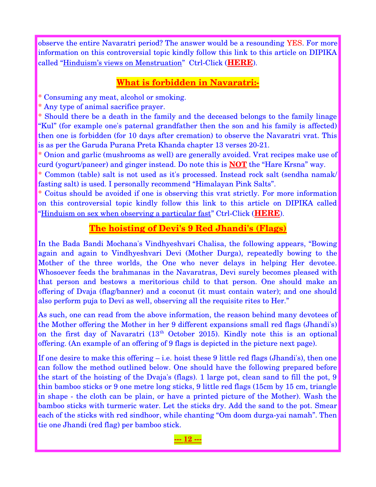observe the entire Navaratri period? The answer would be a resounding YES. For more information on this controversial topic kindly follow this link to this article on DIPIKA called "Hinduism's views on Menstruation" Ctrl-Click ([HERE](http://dipika.org.za/wp-content/uploads/2015/04/Hinduism-s-views-on-Menstruation.pdf)).

### **What is forbidden in Navaratri:**

\* Consuming any meat, alcohol or smoking.

\* Any type of animal sacrifice prayer.

\* Should there be a death in the family and the deceased belongs to the family linage "Kul" (for example one's paternal grandfather then the son and his family is affected) then one is forbidden (for 10 days after cremation) to observe the Navaratri vrat. This is as per the Garuda Purana Preta Khanda chapter 13 verses 20-21.

\* Onion and garlic (mushrooms as well) are generally avoided. Vrat recipes make use of curd (yogurt/paneer) and ginger instead. Do note this is **NOT** the "Hare Krsna" way.

\* Common (table) salt is not used as it's processed. Instead rock salt (sendha namak/ fasting salt) is used. I personally recommend "Himalayan Pink Salts".

\* Coitus should be avoided if one is observing this vrat strictly. For more information on this controversial topic kindly follow this link to this article on DIPIKA called "Hinduism on sex when observing a particular fast" Ctrl-Click (**[HERE](http://dipika.org.za/wp-content/uploads/2015/04/Hinduism-on-sex-when-fasting-.pdf)**).

### **The hoisting of Devi's 9 Red Jhandi's (Flags)**

In the Bada Bandi Mochana's Vindhyeshvari Chalisa, the following appears, "Bowing again and again to Vindhyeshvari Devi (Mother Durga), repeatedly bowing to the Mother of the three worlds, the One who never delays in helping Her devotee. Whosoever feeds the brahmanas in the Navaratras, Devi surely becomes pleased with that person and bestows a meritorious child to that person. One should make an offering of Dvaja (flag/banner) and a coconut (it must contain water); and one should also perform puja to Devi as well, observing all the requisite rites to Her."

As such, one can read from the above information, the reason behind many devotees of the Mother offering the Mother in her 9 different expansions small red flags (Jhandi's) on the first day of Navaratri  $(13<sup>th</sup> October 2015)$ . Kindly note this is an optional offering. (An example of an offering of 9 flags is depicted in the picture next page).

If one desire to make this offering – i.e. hoist these 9 little red flags (Jhandi's), then one can follow the method outlined below. One should have the following prepared before the start of the hoisting of the Dvaja's (flags). 1 large pot, clean sand to fill the pot, 9 thin bamboo sticks or 9 one metre long sticks, 9 little red flags (15cm by 15 cm, triangle in shape - the cloth can be plain, or have a printed picture of the Mother). Wash the bamboo sticks with turmeric water. Let the sticks dry. Add the sand to the pot. Smear each of the sticks with red sindhoor, while chanting "Om doom durga-yai namah". Then tie one Jhandi (red flag) per bamboo stick.

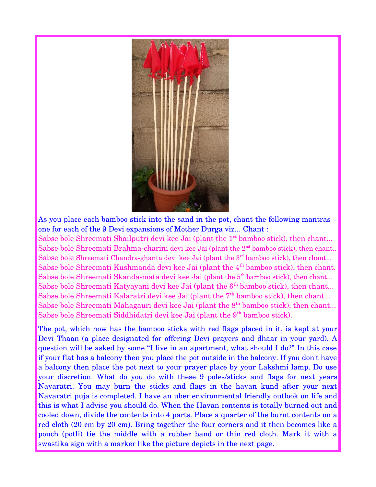

As you place each bamboo stick into the sand in the pot, chant the following mantras – one for each of the 9 Devi expansions of Mother Durga viz... Chant :

Sabse bole Shreemati Shailputri devi kee Jai (plant the  $1<sup>st</sup>$  bamboo stick), then chant... Sabse bole Shreemati Brahma-charini devi kee Jai (plant the  $2<sup>nd</sup>$  bamboo stick), then chant.. Sabse bole Shreemati Chandra-ghanta devi kee Jai (plant the 3<sup>rd</sup> bamboo stick), then chant... Sabse bole Shreemati Kushmanda devi kee Jai (plant the  $4<sup>th</sup>$  bamboo stick), then chant. Sabse bole Shreemati Skanda-mata devi kee Jai (plant the 5<sup>th</sup> bamboo stick), then chant... Sabse bole Shreemati Katyayani devi kee Jai (plant the 6<sup>th</sup> bamboo stick), then chant... Sabse bole Shreemati Kalaratri devi kee Jai (plant the 7<sup>th</sup> bamboo stick), then chant... Sabse bole Shreemati Mahagauri devi kee Jai (plant the  $8<sup>th</sup>$  bamboo stick), then chant... Sabse bole Shreemati Siddhidatri devi kee Jai (plant the 9<sup>th</sup> bamboo stick).

The pot, which now has the bamboo sticks with red flags placed in it, is kept at your Devi Thaan (a place designated for offering Devi prayers and dhaar in your yard). A question will be asked by some "I live in an apartment, what should I do?" In this case if your flat has a balcony then you place the pot outside in the balcony. If you don't have a balcony then place the pot next to your prayer place by your Lakshmi lamp. Do use your discretion. What do you do with these 9 poles/sticks and flags for next years Navaratri. You may burn the sticks and flags in the havan kund after your next Navaratri puja is completed. I have an uber environmental friendly outlook on life and this is what I advise you should do. When the Havan contents is totally burned out and cooled down, divide the contents into 4 parts. Place a quarter of the burnt contents on a red cloth (20 cm by 20 cm). Bring together the four corners and it then becomes like a pouch (potli) tie the middle with a rubber band or thin red cloth. Mark it with a swastika sign with a marker like the picture depicts in the next page.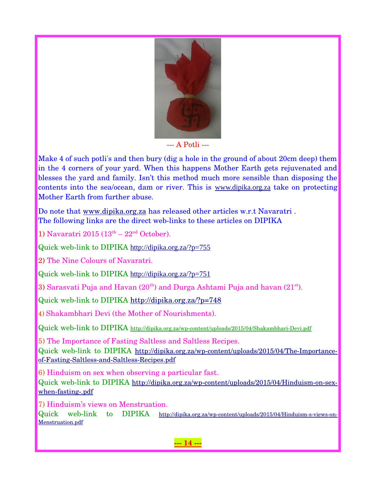

--- A Potli ---

Make 4 of such potli's and then bury (dig a hole in the ground of about 20cm deep) them in the 4 corners of your yard. When this happens Mother Earth gets rejuvenated and blesses the yard and family. Isn't this method much more sensible than disposing the contents into the sea/ocean, dam or river. This is [www.dipika.org.za](http://www.dipika.org.za/) take on protecting Mother Earth from further abuse.

Do note that [www.dipika.org.za](https://uk-mg42.mail.yahoo.com/neo/www.dipika.org.za) has released other articles w.r.t Navaratri. The following links are the direct web-links to these articles on DIPIKA

1) Navaratri 2015  $(13<sup>th</sup> - 22<sup>nd</sup> October)$ .

Quick web-link to DIPIKA <http://dipika.org.za/?p=755>

2) The Nine Colours of Navaratri.

Quick web-link to DIPIKA <http://dipika.org.za/?p=751>

3) Sarasvati Puja and Havan  $(20<sup>th</sup>)$  and Durga Ashtami Puja and havan  $(21<sup>st</sup>)$ .

Quick web-link to DIPIKA<http://dipika.org.za/?p=748>

4) Shakambhari Devi (the Mother of Nourishments).

Quick web-link to DIPIKA http://dipika.org.za/wp-content/uploads/2015/04/Shakambhari-Devi.pdf

5) The Importance of Fasting Saltless and Saltless Recipes. Quick web-link to DIPIKA http://dipika.org.za/wp-content/uploads/2015/04/The-Importanceof-Fasting-Saltless-and-Saltless-Recipes.pdf

6) Hinduism on sex when observing a particular fast.

Quick web-link to DIPIKA http://dipika.org.za/wp-content/uploads/2015/04/Hinduism-on-sexwhen-fasting-.pdf

7) Hinduism's views on Menstruation.

Quick web-link to DIPIKA http://dipika.org.za/wp-content/uploads/2015/04/Hinduism-s-views-on-[Menstruation.pdf](http://dipika.org.za/wp-content/uploads/2015/04/Hinduism-s-views-on-Menstruation.pdf)